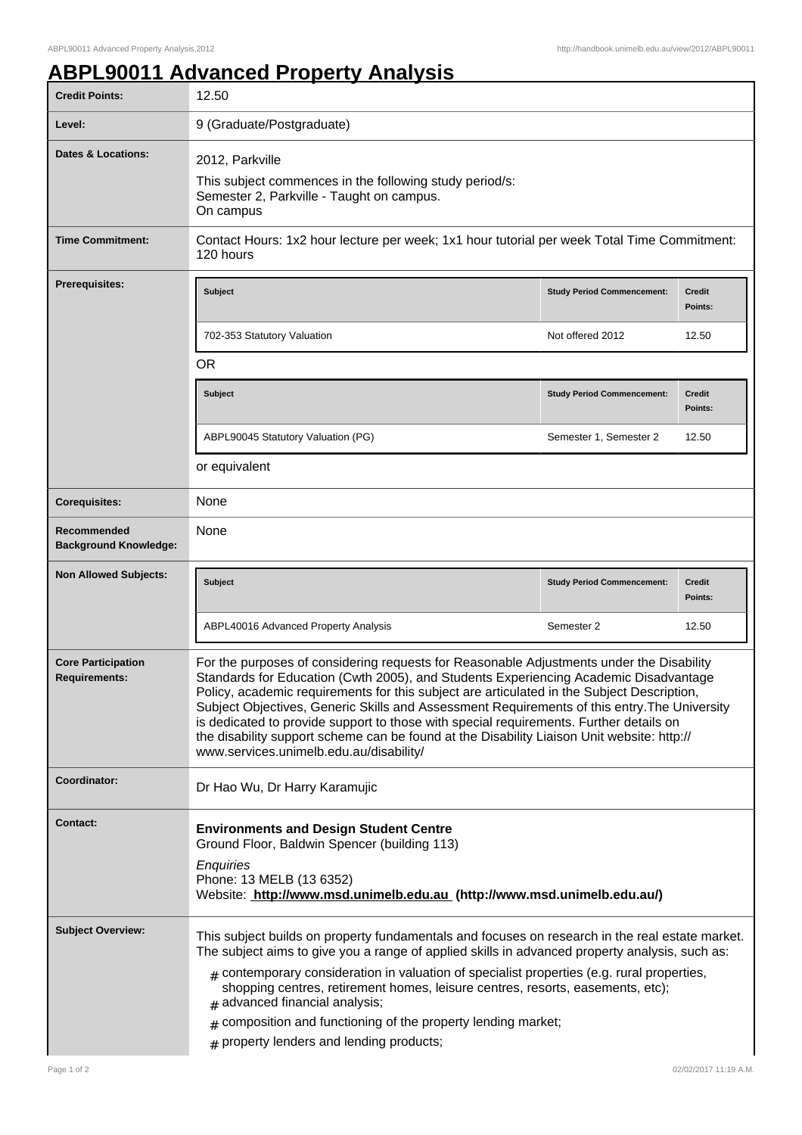## **ABPL90011 Advanced Property Analysis**

| <b>Credit Points:</b>                             | 12.50                                                                                                                                                                                                                                                                                                                                                                                                                                                                                                                                                                                                             |                                   |                          |  |
|---------------------------------------------------|-------------------------------------------------------------------------------------------------------------------------------------------------------------------------------------------------------------------------------------------------------------------------------------------------------------------------------------------------------------------------------------------------------------------------------------------------------------------------------------------------------------------------------------------------------------------------------------------------------------------|-----------------------------------|--------------------------|--|
| Level:                                            | 9 (Graduate/Postgraduate)                                                                                                                                                                                                                                                                                                                                                                                                                                                                                                                                                                                         |                                   |                          |  |
| Dates & Locations:                                | 2012, Parkville<br>This subject commences in the following study period/s:<br>Semester 2, Parkville - Taught on campus.<br>On campus                                                                                                                                                                                                                                                                                                                                                                                                                                                                              |                                   |                          |  |
| <b>Time Commitment:</b>                           | Contact Hours: 1x2 hour lecture per week; 1x1 hour tutorial per week Total Time Commitment:<br>120 hours                                                                                                                                                                                                                                                                                                                                                                                                                                                                                                          |                                   |                          |  |
| Prerequisites:                                    | <b>Subject</b>                                                                                                                                                                                                                                                                                                                                                                                                                                                                                                                                                                                                    | <b>Study Period Commencement:</b> | <b>Credit</b><br>Points: |  |
|                                                   | 702-353 Statutory Valuation                                                                                                                                                                                                                                                                                                                                                                                                                                                                                                                                                                                       | Not offered 2012                  | 12.50                    |  |
|                                                   | <b>OR</b>                                                                                                                                                                                                                                                                                                                                                                                                                                                                                                                                                                                                         |                                   |                          |  |
|                                                   | Subject                                                                                                                                                                                                                                                                                                                                                                                                                                                                                                                                                                                                           | <b>Study Period Commencement:</b> | <b>Credit</b><br>Points: |  |
|                                                   | ABPL90045 Statutory Valuation (PG)                                                                                                                                                                                                                                                                                                                                                                                                                                                                                                                                                                                | Semester 1, Semester 2            | 12.50                    |  |
|                                                   | or equivalent                                                                                                                                                                                                                                                                                                                                                                                                                                                                                                                                                                                                     |                                   |                          |  |
| <b>Corequisites:</b>                              | None                                                                                                                                                                                                                                                                                                                                                                                                                                                                                                                                                                                                              |                                   |                          |  |
| Recommended<br><b>Background Knowledge:</b>       | None                                                                                                                                                                                                                                                                                                                                                                                                                                                                                                                                                                                                              |                                   |                          |  |
| <b>Non Allowed Subjects:</b>                      | <b>Subject</b>                                                                                                                                                                                                                                                                                                                                                                                                                                                                                                                                                                                                    | <b>Study Period Commencement:</b> | <b>Credit</b><br>Points: |  |
|                                                   | ABPL40016 Advanced Property Analysis                                                                                                                                                                                                                                                                                                                                                                                                                                                                                                                                                                              | Semester 2                        | 12.50                    |  |
| <b>Core Participation</b><br><b>Requirements:</b> | For the purposes of considering requests for Reasonable Adjustments under the Disability<br>Standards for Education (Cwth 2005), and Students Experiencing Academic Disadvantage<br>Policy, academic requirements for this subject are articulated in the Subject Description,<br>Subject Objectives, Generic Skills and Assessment Requirements of this entry. The University<br>is dedicated to provide support to those with special requirements. Further details on<br>the disability support scheme can be found at the Disability Liaison Unit website: http://<br>www.services.unimelb.edu.au/disability/ |                                   |                          |  |
| Coordinator:                                      | Dr Hao Wu, Dr Harry Karamujic                                                                                                                                                                                                                                                                                                                                                                                                                                                                                                                                                                                     |                                   |                          |  |
| <b>Contact:</b>                                   | <b>Environments and Design Student Centre</b><br>Ground Floor, Baldwin Spencer (building 113)<br>Enquiries<br>Phone: 13 MELB (13 6352)<br>Website: http://www.msd.unimelb.edu.au (http://www.msd.unimelb.edu.au/)                                                                                                                                                                                                                                                                                                                                                                                                 |                                   |                          |  |
| <b>Subject Overview:</b>                          | This subject builds on property fundamentals and focuses on research in the real estate market.<br>The subject aims to give you a range of applied skills in advanced property analysis, such as:<br>$#$ contemporary consideration in valuation of specialist properties (e.g. rural properties,<br>shopping centres, retirement homes, leisure centres, resorts, easements, etc);<br>advanced financial analysis;<br>composition and functioning of the property lending market;<br>$\pm$<br>property lenders and lending products;<br>#                                                                        |                                   |                          |  |